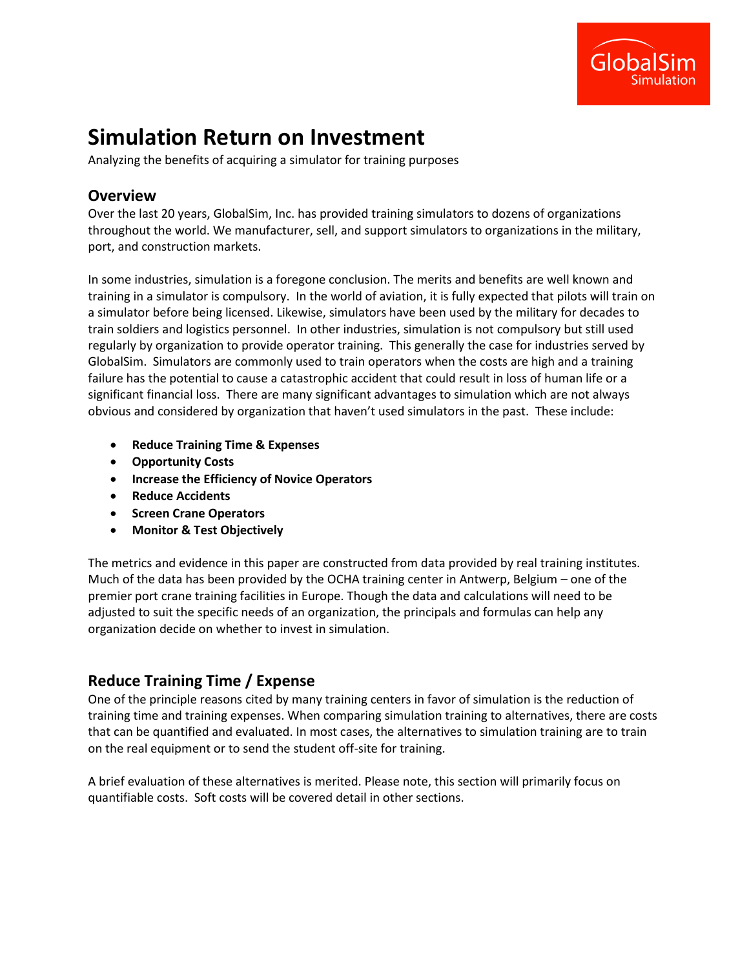

# **Simulation Return on Investment**

Analyzing the benefits of acquiring a simulator for training purposes

### **Overview**

Over the last 20 years, GlobalSim, Inc. has provided training simulators to dozens of organizations throughout the world. We manufacturer, sell, and support simulators to organizations in the military, port, and construction markets.

In some industries, simulation is a foregone conclusion. The merits and benefits are well known and training in a simulator is compulsory. In the world of aviation, it is fully expected that pilots will train on a simulator before being licensed. Likewise, simulators have been used by the military for decades to train soldiers and logistics personnel. In other industries, simulation is not compulsory but still used regularly by organization to provide operator training. This generally the case for industries served by GlobalSim. Simulators are commonly used to train operators when the costs are high and a training failure has the potential to cause a catastrophic accident that could result in loss of human life or a significant financial loss. There are many significant advantages to simulation which are not always obvious and considered by organization that haven't used simulators in the past. These include:

- **Reduce Training Time & Expenses**
- **Opportunity Costs**
- **Increase the Efficiency of Novice Operators**
- **Reduce Accidents**
- **•** Screen Crane Operators
- **Monitor & Test Objectively**

The metrics and evidence in this paper are constructed from data provided by real training institutes. Much of the data has been provided by the OCHA training center in Antwerp, Belgium – one of the premier port crane training facilities in Europe. Though the data and calculations will need to be adjusted to suit the specific needs of an organization, the principals and formulas can help any organization decide on whether to invest in simulation.

# **Reduce Training Time / Expense**

One of the principle reasons cited by many training centers in favor of simulation is the reduction of training time and training expenses. When comparing simulation training to alternatives, there are costs that can be quantified and evaluated. In most cases, the alternatives to simulation training are to train on the real equipment or to send the student off-site for training.

A brief evaluation of these alternatives is merited. Please note, this section will primarily focus on quantifiable costs. Soft costs will be covered detail in other sections.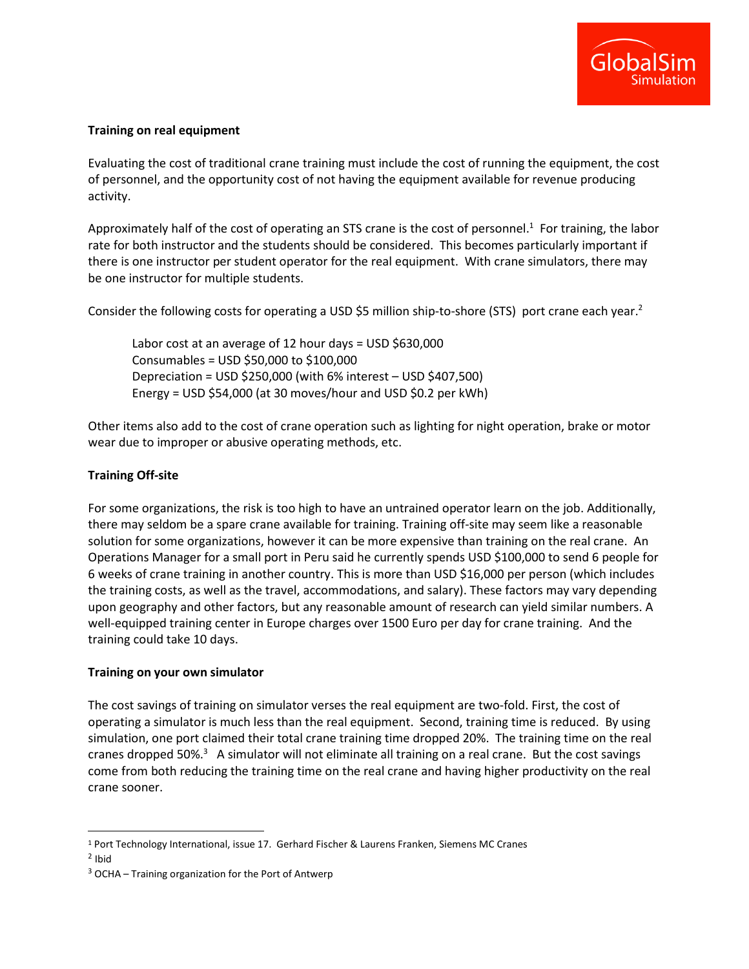

#### **Training on real equipment**

Evaluating the cost of traditional crane training must include the cost of running the equipment, the cost of personnel, and the opportunity cost of not having the equipment available for revenue producing activity.

Approximately half of the cost of operating an STS crane is the cost of personnel.<sup>1</sup> For training, the labor rate for both instructor and the students should be considered. This becomes particularly important if there is one instructor per student operator for the real equipment. With crane simulators, there may be one instructor for multiple students.

Consider the following costs for operating a USD \$5 million ship-to-shore (STS) port crane each year.<sup>2</sup>

Labor cost at an average of 12 hour days = USD \$630,000 Consumables = USD \$50,000 to \$100,000 Depreciation = USD \$250,000 (with 6% interest – USD \$407,500) Energy = USD \$54,000 (at 30 moves/hour and USD \$0.2 per kWh)

Other items also add to the cost of crane operation such as lighting for night operation, brake or motor wear due to improper or abusive operating methods, etc.

#### **Training Off-site**

For some organizations, the risk is too high to have an untrained operator learn on the job. Additionally, there may seldom be a spare crane available for training. Training off-site may seem like a reasonable solution for some organizations, however it can be more expensive than training on the real crane. An Operations Manager for a small port in Peru said he currently spends USD \$100,000 to send 6 people for 6 weeks of crane training in another country. This is more than USD \$16,000 per person (which includes the training costs, as well as the travel, accommodations, and salary). These factors may vary depending upon geography and other factors, but any reasonable amount of research can yield similar numbers. A well-equipped training center in Europe charges over 1500 Euro per day for crane training. And the training could take 10 days.

#### **Training on your own simulator**

The cost savings of training on simulator verses the real equipment are two-fold. First, the cost of operating a simulator is much less than the real equipment. Second, training time is reduced. By using simulation, one port claimed their total crane training time dropped 20%. The training time on the real cranes dropped 50%.<sup>3</sup> A simulator will not eliminate all training on a real crane. But the cost savings come from both reducing the training time on the real crane and having higher productivity on the real crane sooner.

 $\overline{\phantom{a}}$ 

<sup>1</sup> Port Technology International, issue 17. Gerhard Fischer & Laurens Franken, Siemens MC Cranes

<sup>&</sup>lt;sup>2</sup> Ibid

 $3$  OCHA – Training organization for the Port of Antwerp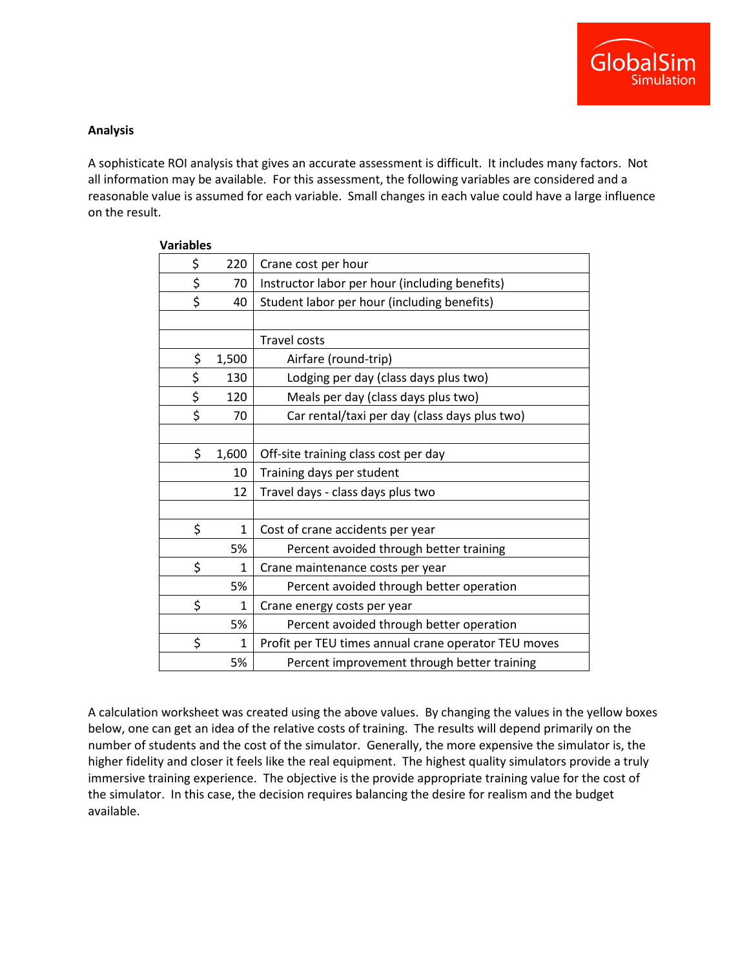

#### **Analysis**

A sophisticate ROI analysis that gives an accurate assessment is difficult. It includes many factors. Not all information may be available. For this assessment, the following variables are considered and a reasonable value is assumed for each variable. Small changes in each value could have a large influence on the result.

| \$ | 220          | Crane cost per hour                                  |
|----|--------------|------------------------------------------------------|
| \$ | 70           | Instructor labor per hour (including benefits)       |
| \$ | 40           | Student labor per hour (including benefits)          |
|    |              |                                                      |
|    |              | <b>Travel costs</b>                                  |
| \$ | 1,500        | Airfare (round-trip)                                 |
| \$ | 130          | Lodging per day (class days plus two)                |
| \$ | 120          | Meals per day (class days plus two)                  |
| \$ | 70           | Car rental/taxi per day (class days plus two)        |
|    |              |                                                      |
| \$ | 1,600        | Off-site training class cost per day                 |
|    | 10           | Training days per student                            |
|    | 12           | Travel days - class days plus two                    |
|    |              |                                                      |
| \$ | $\mathbf{1}$ | Cost of crane accidents per year                     |
|    | 5%           | Percent avoided through better training              |
| \$ | 1            | Crane maintenance costs per year                     |
|    | 5%           | Percent avoided through better operation             |
| \$ | 1            | Crane energy costs per year                          |
|    | 5%           | Percent avoided through better operation             |
| \$ | $\mathbf{1}$ | Profit per TEU times annual crane operator TEU moves |
|    | 5%           | Percent improvement through better training          |

**Variables**

A calculation worksheet was created using the above values. By changing the values in the yellow boxes below, one can get an idea of the relative costs of training. The results will depend primarily on the number of students and the cost of the simulator. Generally, the more expensive the simulator is, the higher fidelity and closer it feels like the real equipment. The highest quality simulators provide a truly immersive training experience. The objective is the provide appropriate training value for the cost of the simulator. In this case, the decision requires balancing the desire for realism and the budget available.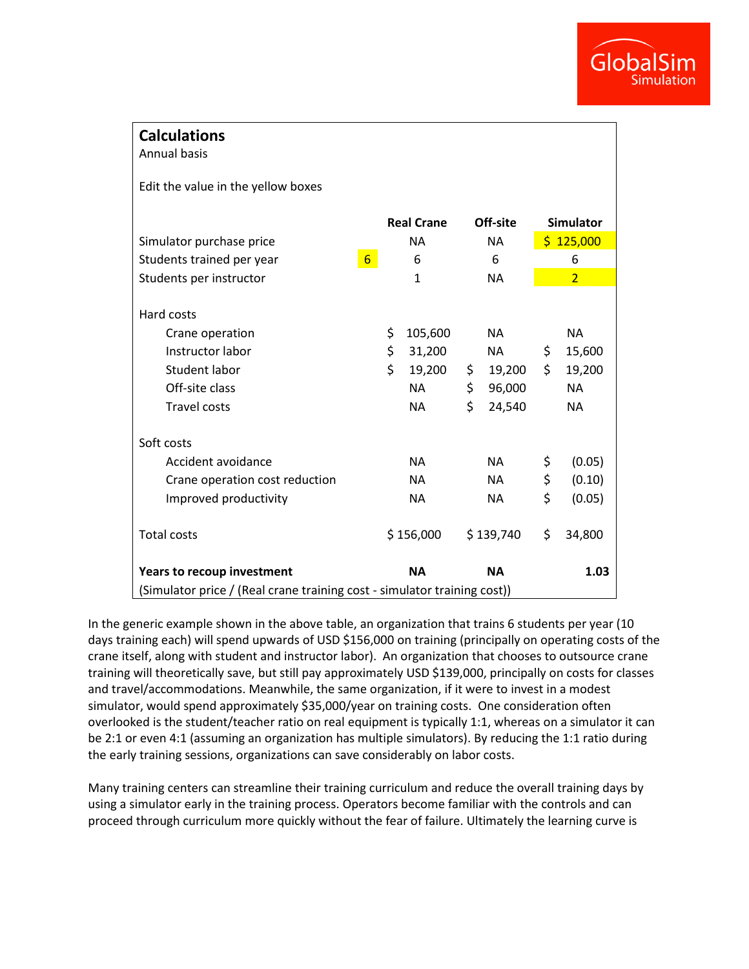

| <b>Calculations</b><br><b>Annual basis</b>                                                                  |                   |                                                       |                |                                               |                  |                                                         |  |  |  |  |
|-------------------------------------------------------------------------------------------------------------|-------------------|-------------------------------------------------------|----------------|-----------------------------------------------|------------------|---------------------------------------------------------|--|--|--|--|
| Edit the value in the yellow boxes                                                                          |                   |                                                       |                |                                               |                  |                                                         |  |  |  |  |
|                                                                                                             | <b>Real Crane</b> |                                                       | Off-site       |                                               | <b>Simulator</b> |                                                         |  |  |  |  |
| Simulator purchase price                                                                                    | <b>NA</b>         |                                                       | <b>NA</b>      |                                               | \$125,000        |                                                         |  |  |  |  |
| $6 \overline{6}$<br>Students trained per year                                                               | 6                 |                                                       | 6              |                                               | 6                |                                                         |  |  |  |  |
| Students per instructor                                                                                     | $\mathbf{1}$      |                                                       | <b>NA</b>      |                                               | $\overline{2}$   |                                                         |  |  |  |  |
| Hard costs<br>Crane operation<br>Instructor labor<br>Student labor<br>Off-site class<br><b>Travel costs</b> | \$<br>\$<br>\$    | 105,600<br>31,200<br>19,200<br><b>NA</b><br><b>NA</b> | \$<br>\$<br>\$ | <b>NA</b><br>NA<br>19,200<br>96,000<br>24,540 | \$<br>\$         | <b>NA</b><br>15,600<br>19,200<br><b>NA</b><br><b>NA</b> |  |  |  |  |
| Soft costs                                                                                                  |                   |                                                       |                |                                               |                  |                                                         |  |  |  |  |
| Accident avoidance                                                                                          |                   | <b>NA</b>                                             | <b>NA</b>      |                                               | \$               | (0.05)                                                  |  |  |  |  |
| Crane operation cost reduction                                                                              |                   | <b>NA</b>                                             | <b>NA</b>      |                                               | \$               | (0.10)                                                  |  |  |  |  |
| Improved productivity                                                                                       |                   | <b>NA</b>                                             |                | NA                                            | \$               | (0.05)                                                  |  |  |  |  |
| <b>Total costs</b>                                                                                          |                   | \$156,000                                             | \$139,740      |                                               | \$               | 34,800                                                  |  |  |  |  |
| <b>Years to recoup investment</b>                                                                           |                   | <b>NA</b>                                             | <b>NA</b>      |                                               |                  | 1.03                                                    |  |  |  |  |
| (Simulator price / (Real crane training cost - simulator training cost))                                    |                   |                                                       |                |                                               |                  |                                                         |  |  |  |  |

In the generic example shown in the above table, an organization that trains 6 students per year (10 days training each) will spend upwards of USD \$156,000 on training (principally on operating costs of the crane itself, along with student and instructor labor). An organization that chooses to outsource crane training will theoretically save, but still pay approximately USD \$139,000, principally on costs for classes and travel/accommodations. Meanwhile, the same organization, if it were to invest in a modest simulator, would spend approximately \$35,000/year on training costs. One consideration often overlooked is the student/teacher ratio on real equipment is typically 1:1, whereas on a simulator it can be 2:1 or even 4:1 (assuming an organization has multiple simulators). By reducing the 1:1 ratio during the early training sessions, organizations can save considerably on labor costs.

Many training centers can streamline their training curriculum and reduce the overall training days by using a simulator early in the training process. Operators become familiar with the controls and can proceed through curriculum more quickly without the fear of failure. Ultimately the learning curve is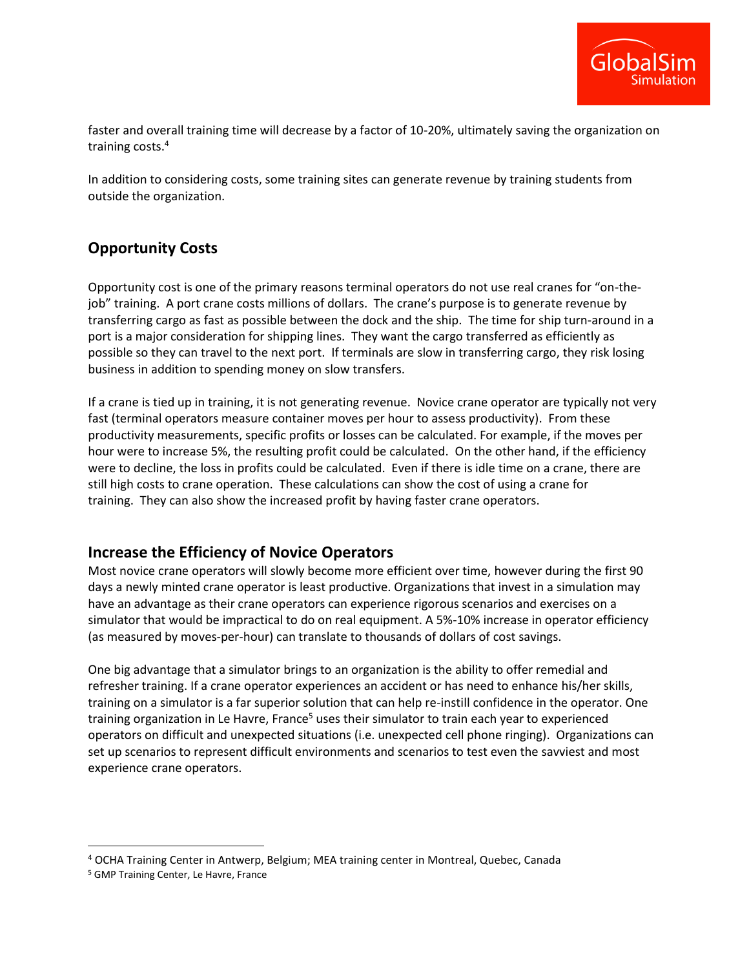

faster and overall training time will decrease by a factor of 10-20%, ultimately saving the organization on training costs.<sup>4</sup>

In addition to considering costs, some training sites can generate revenue by training students from outside the organization.

# **Opportunity Costs**

Opportunity cost is one of the primary reasons terminal operators do not use real cranes for "on-thejob" training. A port crane costs millions of dollars. The crane's purpose is to generate revenue by transferring cargo as fast as possible between the dock and the ship. The time for ship turn-around in a port is a major consideration for shipping lines. They want the cargo transferred as efficiently as possible so they can travel to the next port. If terminals are slow in transferring cargo, they risk losing business in addition to spending money on slow transfers.

If a crane is tied up in training, it is not generating revenue. Novice crane operator are typically not very fast (terminal operators measure container moves per hour to assess productivity). From these productivity measurements, specific profits or losses can be calculated. For example, if the moves per hour were to increase 5%, the resulting profit could be calculated. On the other hand, if the efficiency were to decline, the loss in profits could be calculated. Even if there is idle time on a crane, there are still high costs to crane operation. These calculations can show the cost of using a crane for training. They can also show the increased profit by having faster crane operators.

# **Increase the Efficiency of Novice Operators**

Most novice crane operators will slowly become more efficient over time, however during the first 90 days a newly minted crane operator is least productive. Organizations that invest in a simulation may have an advantage as their crane operators can experience rigorous scenarios and exercises on a simulator that would be impractical to do on real equipment. A 5%-10% increase in operator efficiency (as measured by moves-per-hour) can translate to thousands of dollars of cost savings.

One big advantage that a simulator brings to an organization is the ability to offer remedial and refresher training. If a crane operator experiences an accident or has need to enhance his/her skills, training on a simulator is a far superior solution that can help re-instill confidence in the operator. One training organization in Le Havre, France<sup>5</sup> uses their simulator to train each year to experienced operators on difficult and unexpected situations (i.e. unexpected cell phone ringing). Organizations can set up scenarios to represent difficult environments and scenarios to test even the savviest and most experience crane operators.

 $\overline{\phantom{a}}$ 

<sup>4</sup> OCHA Training Center in Antwerp, Belgium; MEA training center in Montreal, Quebec, Canada

<sup>5</sup> GMP Training Center, Le Havre, France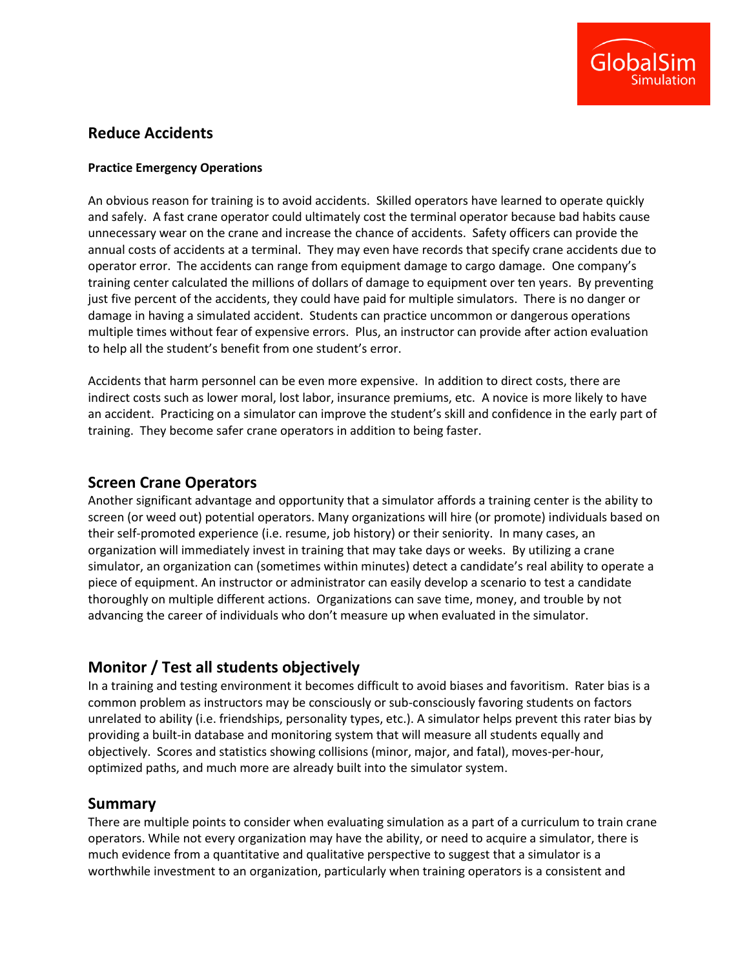

### **Reduce Accidents**

#### **Practice Emergency Operations**

An obvious reason for training is to avoid accidents. Skilled operators have learned to operate quickly and safely. A fast crane operator could ultimately cost the terminal operator because bad habits cause unnecessary wear on the crane and increase the chance of accidents. Safety officers can provide the annual costs of accidents at a terminal. They may even have records that specify crane accidents due to operator error. The accidents can range from equipment damage to cargo damage. One company's training center calculated the millions of dollars of damage to equipment over ten years. By preventing just five percent of the accidents, they could have paid for multiple simulators. There is no danger or damage in having a simulated accident. Students can practice uncommon or dangerous operations multiple times without fear of expensive errors. Plus, an instructor can provide after action evaluation to help all the student's benefit from one student's error.

Accidents that harm personnel can be even more expensive. In addition to direct costs, there are indirect costs such as lower moral, lost labor, insurance premiums, etc. A novice is more likely to have an accident. Practicing on a simulator can improve the student's skill and confidence in the early part of training. They become safer crane operators in addition to being faster.

### **Screen Crane Operators**

Another significant advantage and opportunity that a simulator affords a training center is the ability to screen (or weed out) potential operators. Many organizations will hire (or promote) individuals based on their self-promoted experience (i.e. resume, job history) or their seniority. In many cases, an organization will immediately invest in training that may take days or weeks. By utilizing a crane simulator, an organization can (sometimes within minutes) detect a candidate's real ability to operate a piece of equipment. An instructor or administrator can easily develop a scenario to test a candidate thoroughly on multiple different actions. Organizations can save time, money, and trouble by not advancing the career of individuals who don't measure up when evaluated in the simulator.

### **Monitor / Test all students objectively**

In a training and testing environment it becomes difficult to avoid biases and favoritism. Rater bias is a common problem as instructors may be consciously or sub-consciously favoring students on factors unrelated to ability (i.e. friendships, personality types, etc.). A simulator helps prevent this rater bias by providing a built-in database and monitoring system that will measure all students equally and objectively. Scores and statistics showing collisions (minor, major, and fatal), moves-per-hour, optimized paths, and much more are already built into the simulator system.

### **Summary**

There are multiple points to consider when evaluating simulation as a part of a curriculum to train crane operators. While not every organization may have the ability, or need to acquire a simulator, there is much evidence from a quantitative and qualitative perspective to suggest that a simulator is a worthwhile investment to an organization, particularly when training operators is a consistent and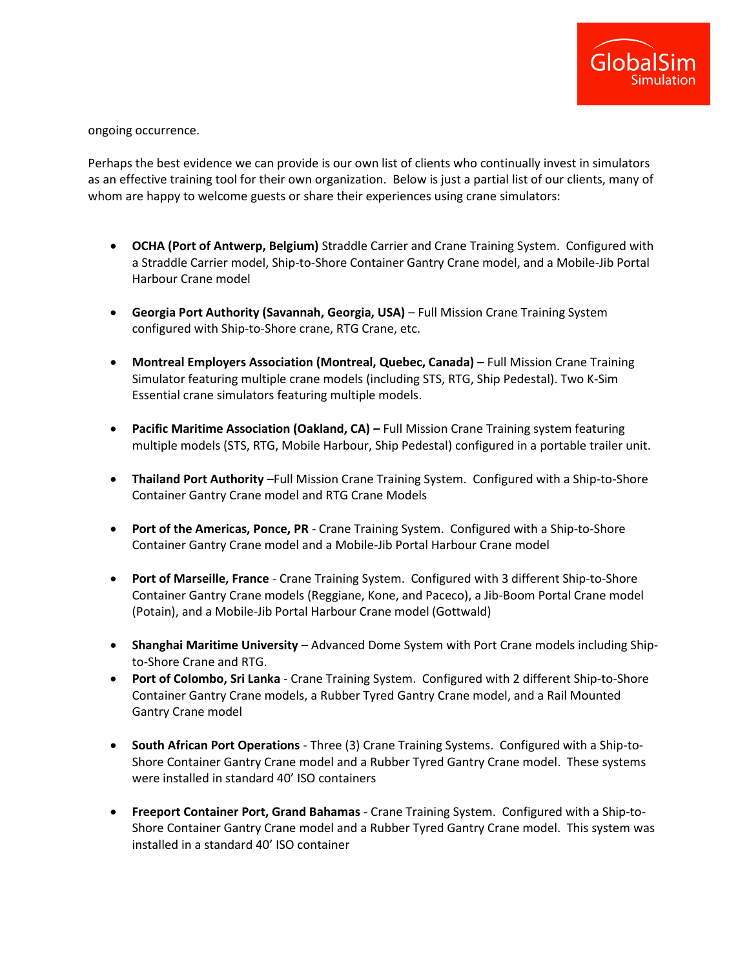

ongoing occurrence.

Perhaps the best evidence we can provide is our own list of clients who continually invest in simulators as an effective training tool for their own organization. Below is just a partial list of our clients, many of whom are happy to welcome guests or share their experiences using crane simulators:

- **OCHA (Port of Antwerp, Belgium)** Straddle Carrier and Crane Training System. Configured with a Straddle Carrier model, Ship-to-Shore Container Gantry Crane model, and a Mobile-Jib Portal Harbour Crane model
- **Georgia Port Authority (Savannah, Georgia, USA)**  Full Mission Crane Training System configured with Ship-to-Shore crane, RTG Crane, etc.
- **Montreal Employers Association (Montreal, Quebec, Canada) Full Mission Crane Training** Simulator featuring multiple crane models (including STS, RTG, Ship Pedestal). Two K-Sim Essential crane simulators featuring multiple models.
- **Pacific Maritime Association (Oakland, CA) Full Mission Crane Training system featuring** multiple models (STS, RTG, Mobile Harbour, Ship Pedestal) configured in a portable trailer unit.
- **Thailand Port Authority** –Full Mission Crane Training System. Configured with a Ship-to-Shore Container Gantry Crane model and RTG Crane Models
- **Port of the Americas, Ponce, PR** Crane Training System. Configured with a Ship-to-Shore Container Gantry Crane model and a Mobile-Jib Portal Harbour Crane model
- **Port of Marseille, France** Crane Training System. Configured with 3 different Ship-to-Shore Container Gantry Crane models (Reggiane, Kone, and Paceco), a Jib-Boom Portal Crane model (Potain), and a Mobile-Jib Portal Harbour Crane model (Gottwald)
- **Shanghai Maritime University**  Advanced Dome System with Port Crane models including Shipto-Shore Crane and RTG.
- **Port of Colombo, Sri Lanka** Crane Training System. Configured with 2 different Ship-to-Shore Container Gantry Crane models, a Rubber Tyred Gantry Crane model, and a Rail Mounted Gantry Crane model
- **South African Port Operations** Three (3) Crane Training Systems. Configured with a Ship-to-Shore Container Gantry Crane model and a Rubber Tyred Gantry Crane model. These systems were installed in standard 40' ISO containers
- **Freeport Container Port, Grand Bahamas** Crane Training System. Configured with a Ship-to-Shore Container Gantry Crane model and a Rubber Tyred Gantry Crane model. This system was installed in a standard 40' ISO container